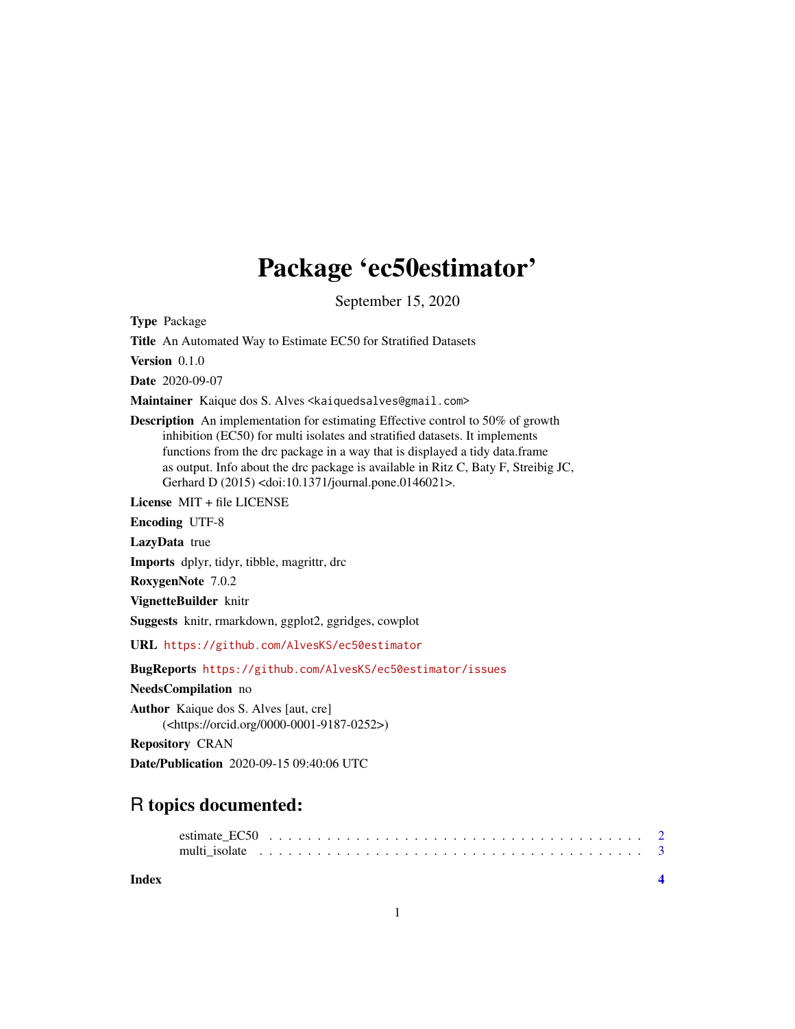## Package 'ec50estimator'

September 15, 2020

<span id="page-0-0"></span>Type Package

Title An Automated Way to Estimate EC50 for Stratified Datasets

Version 0.1.0

Date 2020-09-07

Maintainer Kaique dos S. Alves <kaiquedsalves@gmail.com>

Description An implementation for estimating Effective control to 50% of growth inhibition (EC50) for multi isolates and stratified datasets. It implements functions from the drc package in a way that is displayed a tidy data.frame as output. Info about the drc package is available in Ritz C, Baty F, Streibig JC, Gerhard D (2015) <doi:10.1371/journal.pone.0146021>.

License MIT + file LICENSE

Encoding UTF-8

LazyData true

Imports dplyr, tidyr, tibble, magrittr, drc

RoxygenNote 7.0.2

VignetteBuilder knitr

Suggests knitr, rmarkdown, ggplot2, ggridges, cowplot

URL <https://github.com/AlvesKS/ec50estimator>

BugReports <https://github.com/AlvesKS/ec50estimator/issues>

NeedsCompilation no

Author Kaique dos S. Alves [aut, cre] (<https://orcid.org/0000-0001-9187-0252>)

Repository CRAN

Date/Publication 2020-09-15 09:40:06 UTC

### R topics documented:

#### **Index** [4](#page-3-0)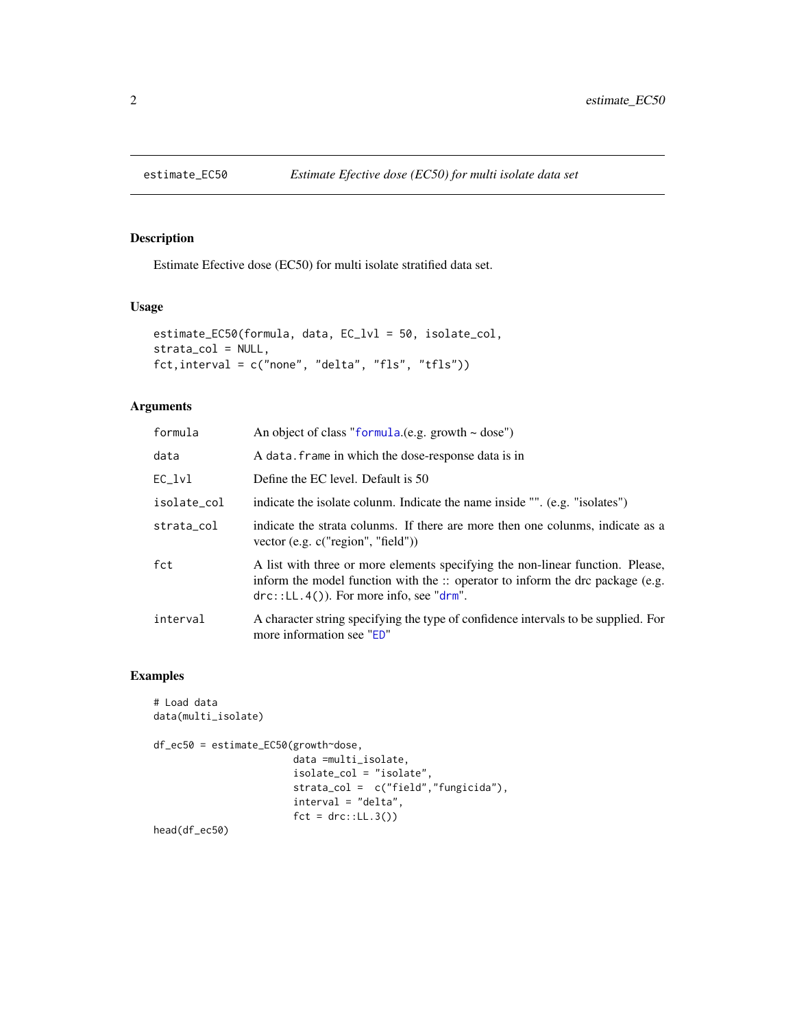<span id="page-1-0"></span>

#### Description

Estimate Efective dose (EC50) for multi isolate stratified data set.

#### Usage

```
estimate_EC50(formula, data, EC_lvl = 50, isolate_col,
strata_col = NULL,
fct,interval = c("none", "delta", "fls", "tfls"))
```
#### Arguments

| formula     | An object of class "formula.(e.g. growth $\sim$ dose")                                                                                                                                                                          |
|-------------|---------------------------------------------------------------------------------------------------------------------------------------------------------------------------------------------------------------------------------|
| data        | A data. frame in which the dose-response data is in                                                                                                                                                                             |
| EC lvl      | Define the EC level. Default is 50                                                                                                                                                                                              |
| isolate_col | indicate the isolate colunm. Indicate the name inside "". (e.g. "isolates")                                                                                                                                                     |
| strata_col  | indicate the strata colunms. If there are more then one colunms, indicate as a<br>vector (e.g. c("region", "field"))                                                                                                            |
| fct         | A list with three or more elements specifying the non-linear function. Please,<br>inform the model function with the $\therefore$ operator to inform the drc package (e.g.<br>$\text{drc}$ ::LL.4()). For more info, see "drm". |
| interval    | A character string specifying the type of confidence intervals to be supplied. For<br>more information see "ED"                                                                                                                 |

#### Examples

```
# Load data
data(multi_isolate)
df_ec50 = estimate_EC50(growth~dose,
                       data =multi_isolate,
                       isolate_col = "isolate",
                       strata_col = c("field","fungicida"),
                        interval = "delta",
                       fct = drc::LL.3()
```
head(df\_ec50)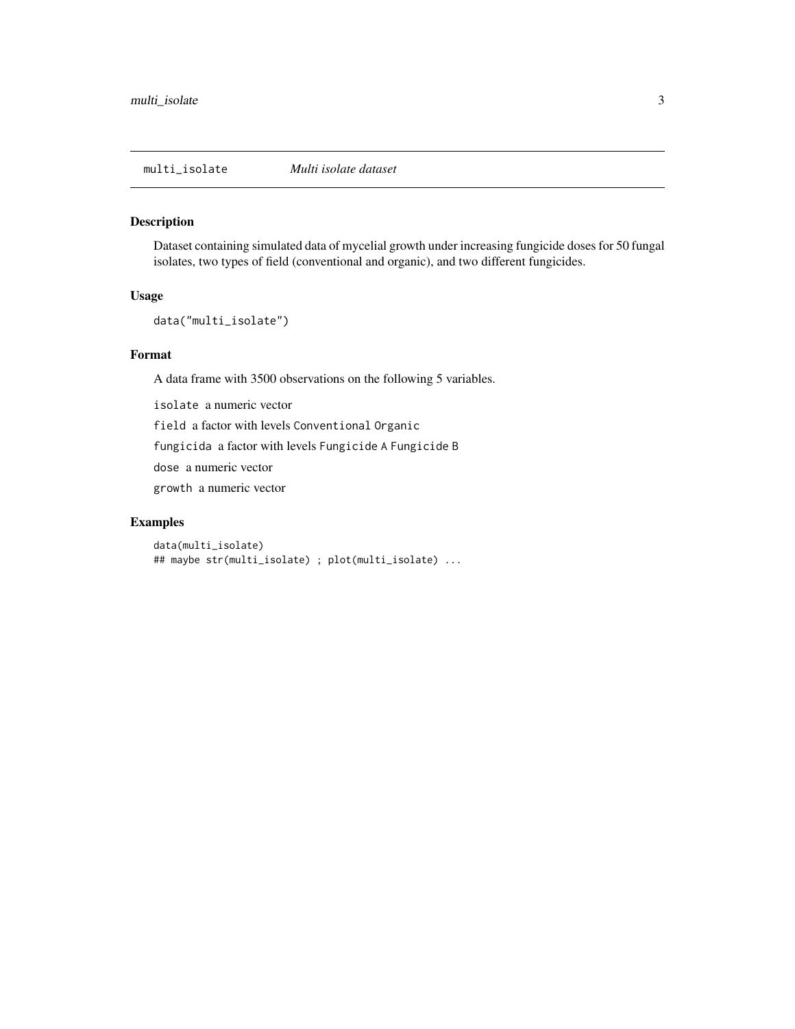<span id="page-2-0"></span>multi\_isolate *Multi isolate dataset*

#### Description

Dataset containing simulated data of mycelial growth under increasing fungicide doses for 50 fungal isolates, two types of field (conventional and organic), and two different fungicides.

#### Usage

```
data("multi_isolate")
```
#### Format

A data frame with 3500 observations on the following 5 variables.

isolate a numeric vector field a factor with levels Conventional Organic fungicida a factor with levels Fungicide A Fungicide B dose a numeric vector growth a numeric vector

#### Examples

data(multi\_isolate) ## maybe str(multi\_isolate) ; plot(multi\_isolate) ...